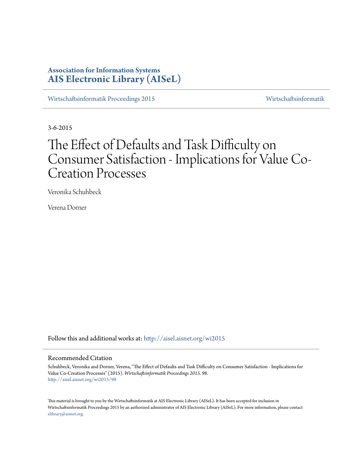# **Association for Information Systems [AIS Electronic Library \(AISeL\)](http://aisel.aisnet.org?utm_source=aisel.aisnet.org%2Fwi2015%2F98&utm_medium=PDF&utm_campaign=PDFCoverPages)**

[Wirtschaftsinformatik Proceedings 2015](http://aisel.aisnet.org/wi2015?utm_source=aisel.aisnet.org%2Fwi2015%2F98&utm_medium=PDF&utm_campaign=PDFCoverPages) [Wirtschaftsinformatik](http://aisel.aisnet.org/wi?utm_source=aisel.aisnet.org%2Fwi2015%2F98&utm_medium=PDF&utm_campaign=PDFCoverPages)

3-6-2015

# The Effect of Defaults and Task Difficulty on Consumer Satisfaction - Implications for Value Co-Creation Processes

Veronika Schuhbeck

Verena Dorner

Follow this and additional works at: [http://aisel.aisnet.org/wi2015](http://aisel.aisnet.org/wi2015?utm_source=aisel.aisnet.org%2Fwi2015%2F98&utm_medium=PDF&utm_campaign=PDFCoverPages)

## Recommended Citation

Schuhbeck, Veronika and Dorner, Verena, "The Effect of Defaults and Task Difficulty on Consumer Satisfaction - Implications for Value Co-Creation Processes" (2015). *Wirtschaftsinformatik Proceedings 2015*. 98. [http://aisel.aisnet.org/wi2015/98](http://aisel.aisnet.org/wi2015/98?utm_source=aisel.aisnet.org%2Fwi2015%2F98&utm_medium=PDF&utm_campaign=PDFCoverPages)

This material is brought to you by the Wirtschaftsinformatik at AIS Electronic Library (AISeL). It has been accepted for inclusion in Wirtschaftsinformatik Proceedings 2015 by an authorized administrator of AIS Electronic Library (AISeL). For more information, please contact [elibrary@aisnet.org.](mailto:elibrary@aisnet.org%3E)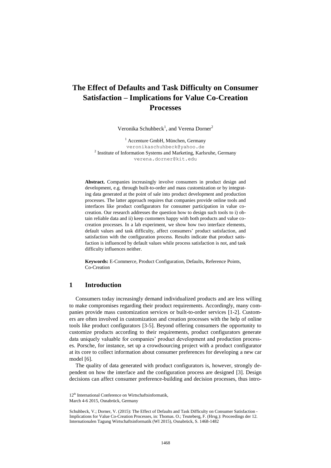# **The Effect of Defaults and Task Difficulty on Consumer Satisfaction – Implications for Value Co-Creation Processes**

Veronika Schuhbeck<sup>1</sup>, and Verena Dorner<sup>2</sup>

<sup>1</sup> Accenture GmbH, München, Germany veronikaschuhbeck@yahoo.de <sup>2</sup> Institute of Information Systems and Marketing, Karlsruhe, Germany verena.dorner@kit.edu

**Abstract.** Companies increasingly involve consumers in product design and development, e.g. through built-to-order and mass customization or by integrating data generated at the point of sale into product development and production processes. The latter approach requires that companies provide online tools and interfaces like product configurators for consumer participation in value cocreation. Our research addresses the question how to design such tools to i) obtain reliable data and ii) keep customers happy with both products and value cocreation processes. In a lab experiment, we show how two interface elements, default values and task difficulty, affect consumers' product satisfaction, and satisfaction with the configuration process. Results indicate that product satisfaction is influenced by default values while process satisfaction is not, and task difficulty influences neither.

**Keywords:** E-Commerce, Product Configuration, Defaults, Reference Points, Co-Creation

# **1 Introduction**

Consumers today increasingly demand individualized products and are less willing to make compromises regarding their product requirements. Accordingly, many companies provide mass customization services or built-to-order services [\[1-](#page-13-0)[2\]](#page-13-1). Customers are often involved in customization and creation processes with the help of online tools like product configurators [\[3](#page-13-2)[-5\]](#page-13-3). Beyond offering consumers the opportunity to customize products according to their requirements, product configurators generate data uniquely valuable for companies' product development and production processes. Porsche, for instance, set up a crowdsourcing project with a product configurator at its core to collect information about consumer preferences for developing a new car model [\[6\]](#page-13-4).

The quality of data generated with product configurators is, however, strongly dependent on how the interface and the configuration process are designed [\[3\]](#page-13-2). Design decisions can affect consumer preference-building and decision processes, thus intro-

<sup>12&</sup>lt;sup>th</sup> International Conference on Wirtschaftsinformatik,

March 4-6 2015, Osnabrück, Germany

Schuhbeck, V.; Dorner, V. (2015): The Effect of Defaults and Task Difficulty on Consumer Satisfaction - Implications for Value Co-Creation Processes, in: Thomas. O.; Teuteberg, F. (Hrsg.): Proceedings der 12. Internationalen Tagung Wirtschaftsinformatik (WI 2015), Osnabrück, S. 1468-1482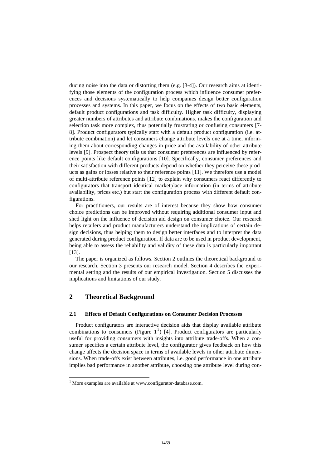ducing noise into the data or distorting them (e.g. [\[3](#page-13-2)[-4\]](#page-13-5)). Our research aims at identifying those elements of the configuration process which influence consumer preferences and decisions systematically to help companies design better configuration processes and systems. In this paper, we focus on the effects of two basic elements, default product configurations and task difficulty. Higher task difficulty, displaying greater numbers of attributes and attribute combinations, makes the configuration and selection task more complex, thus potentially frustrating or confusing consumers [\[7-](#page-13-6) [8\]](#page-13-7). Product configurators typically start with a default product configuration (i.e. attribute combination) and let consumers change attribute levels one at a time, informing them about corresponding changes in price and the availability of other attribute levels [\[9\]](#page-13-8). Prospect theory tells us that consumer preferences are influenced by reference points like default configurations [\[10\]](#page-13-9). Specifically, consumer preferences and their satisfaction with different products depend on whether they perceive these products as gains or losses relative to their reference points [\[11\]](#page-13-10). We therefore use a model of multi-attribute reference points [\[12\]](#page-13-11) to explain why consumers react differently to configurators that transport identical marketplace information (in terms of attribute availability, prices etc.) but start the configuration process with different default configurations.

For practitioners, our results are of interest because they show how consumer choice predictions can be improved without requiring additional consumer input and shed light on the influence of decision aid design on consumer choice. Our research helps retailers and product manufacturers understand the implications of certain design decisions, thus helping them to design better interfaces and to interpret the data generated during product configuration. If data are to be used in product development, being able to assess the reliability and validity of these data is particularly important [\[13\]](#page-13-12).

The paper is organized as follows. Section 2 outlines the theoretical background to our research. Section 3 presents our research model. Section 4 describes the experimental setting and the results of our empirical investigation. Section 5 discusses the implications and limitations of our study.

# **2 Theoretical Background**

 $\overline{\phantom{a}}$ 

#### **2.1 Effects of Default Configurations on Consumer Decision Processes**

Product configurators are interactive decision aids that display available attribute combinations to consumers (Figure  $1^1$ ) [\[4\]](#page-13-5). Product configurators are particularly useful for providing consumers with insights into attribute trade-offs. When a consumer specifies a certain attribute level, the configurator gives feedback on how this change affects the decision space in terms of available levels in other attribute dimensions. When trade-offs exist between attributes, i.e. good performance in one attribute implies bad performance in another attribute, choosing one attribute level during con-

<sup>&</sup>lt;sup>1</sup> More examples are available at www.configurator-database.com.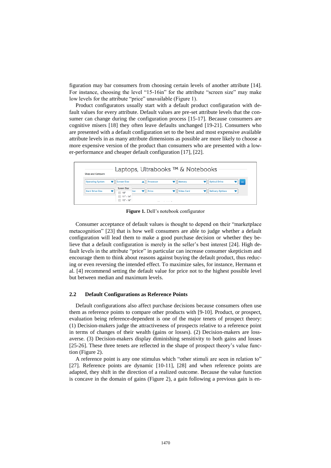figuration may bar consumers from choosing certain levels of another attribute [\[14\]](#page-13-13). For instance, choosing the level "15-16in" for the attribute "screen size" may make low levels for the attribute "price" unavailable (Figure 1).

Product configurators usually start with a default product configuration with default values for every attribute. Default values are pre-set attribute levels that the consumer can change during the configuration process [15-17]. Because consumers are cognitive misers [18] they often leave defaults unchanged [19-21]. Consumers who are presented with a default configuration set to the best and most expensive available attribute levels in as many attribute dimensions as possible are more likely to choose a more expensive version of the product than consumers who are presented with a lower-performance and cheaper default configuration [17], [22].



**Figure 1.** Dell's notebook configurator

Consumer acceptance of default values is thought to depend on their "marketplace metacognition" [\[23\]](#page-14-0) that is how well consumers are able to judge whether a default configuration will lead them to make a good purchase decision or whether they believe that a default configuration is merely in the seller's best interest [\[24\]](#page-14-1). High default levels in the attribute "price" in particular can increase consumer skepticism and encourage them to think about reasons against buying the default product, thus reducing or even reversing the intended effect. To maximize sales, for instance, Hermann et al. [\[4\]](#page-13-5) recommend setting the default value for price not to the highest possible level but between median and maximum levels.

#### **2.2 Default Configurations as Reference Points**

Default configurations also affect purchase decisions because consumers often use them as reference points to compare other products with [\[9](#page-13-8)[-10\]](#page-13-9). Product, or prospect, evaluation being reference-dependent is one of the major tenets of prospect theory: (1) Decision-makers judge the attractiveness of prospects relative to a reference point in terms of changes of their wealth (gains or losses). (2) Decision-makers are lossaverse. (3) Decision-makers display diminishing sensitivity to both gains and losses [\[25](#page-14-2)[-26\]](#page-14-3). These three tenets are reflected in the shape of prospect theory's value function (Figure 2).

A reference point is any one stimulus which "other stimuli are seen in relation to" [\[27\]](#page-14-4). Reference points are dynamic [\[10-](#page-13-9)[11\]](#page-13-10), [\[28\]](#page-14-5) and when reference points are adapted, they shift in the direction of a realized outcome. Because the value function is concave in the domain of gains (Figure 2), a gain following a previous gain is en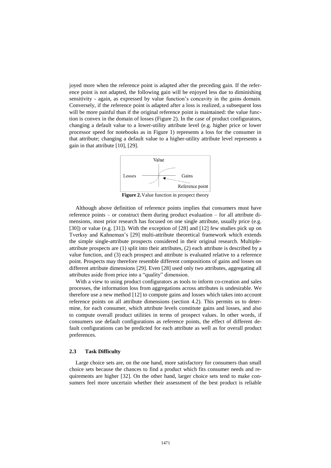joyed more when the reference point is adapted after the preceding gain. If the reference point is not adapted, the following gain will be enjoyed less due to diminishing sensitivity - again, as expressed by value function's concavity in the gains domain. Conversely, if the reference point is adapted after a loss is realized, a subsequent loss will be more painful than if the original reference point is maintained: the value function is convex in the domain of losses (Figure 2). In the case of product configurators, changing a default value to a lower-utility attribute level (e.g. higher price or lower processor speed for notebooks as in Figure 1) represents a loss for the consumer in that attribute; changing a default value to a higher-utility attribute level represents a gain in that attribute [\[10\]](#page-13-9), [\[29\]](#page-14-6).



**Figure 2.** Value function in prospect theory

Although above definition of reference points implies that consumers must have reference points – or construct them during product evaluation – for all attribute dimensions, most prior research has focused on one single attribute, usually price (e.g. [\[30\]](#page-14-7)) or value (e.g. [\[31\]](#page-14-8)). With the exception of [\[28\]](#page-14-5) and [\[12\]](#page-13-11) few studies pick up on Tverksy and Kahneman's [\[29\]](#page-14-6) multi-attribute theoretical framework which extends the simple single-attribute prospects considered in their original research. Multipleattribute prospects are (1) split into their attributes, (2) each attribute is described by a value function, and (3) each prospect and attribute is evaluated relative to a reference point. Prospects may therefore resemble different compositions of gains and losses on different attribute dimensions [\[29\]](#page-14-6). Even [\[28\]](#page-14-5) used only two attributes, aggregating all attributes aside from price into a "quality" dimension.

With a view to using product configurators as tools to inform co-creation and sales processes, the information loss from aggregations across attributes is undesirable. We therefore use a new method [\[12\]](#page-13-11) to compute gains and losses which takes into account reference points on all attribute dimensions (section 4.2). This permits us to determine, for each consumer, which attribute levels constitute gains and losses, and also to compute overall product utilities in terms of prospect values. In other words, if consumers use default configurations as reference points, the effect of different default configurations can be predicted for each attribute as well as for overall product preferences.

#### **2.3 Task Difficulty**

Large choice sets are, on the one hand, more satisfactory for consumers than small choice sets because the chances to find a product which fits consumer needs and requirements are higher [\[32\]](#page-14-9). On the other hand, larger choice sets tend to make consumers feel more uncertain whether their assessment of the best product is reliable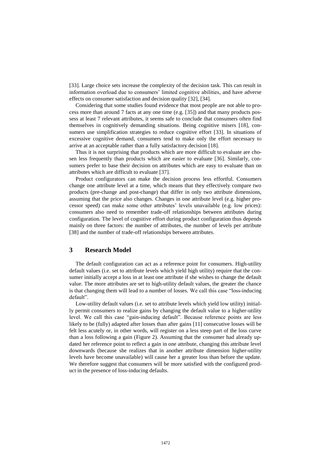[\[33\]](#page-14-10). Large choice sets increase the complexity of the decision task. This can result in information overload due to consumers' limited cognitive abilities, and have adverse effects on consumer satisfaction and decision quality [\[32\]](#page-14-9), [\[34\]](#page-14-11).

Considering that some studies found evidence that most people are not able to process more than around 7 facts at any one time (e.g. [\[35\]](#page-14-12)) and that many products possess at least 7 relevant attributes, it seems safe to conclude that consumers often find themselves in cognitively demanding situations. Being cognitive misers [\[18\]](#page-13-14), consumers use simplification strategies to reduce cognitive effort [\[33\]](#page-14-10). In situations of excessive cognitive demand, consumers tend to make only the effort necessary to arrive at an acceptable rather than a fully satisfactory decision [\[18\]](#page-13-14).

Thus it is not surprising that products which are more difficult to evaluate are chosen less frequently than products which are easier to evaluate [\[36\]](#page-14-13). Similarly, consumers prefer to base their decision on attributes which are easy to evaluate than on attributes which are difficult to evaluate [\[37\]](#page-14-14).

Product configurators can make the decision process less effortful. Consumers change one attribute level at a time, which means that they effectively compare two products (pre-change and post-change) that differ in only two attribute dimensions, assuming that the price also changes. Changes in one attribute level (e.g. higher processor speed) can make some other attributes' levels unavailable (e.g. low prices): consumers also need to remember trade-off relationships between attributes during configuration. The level of cognitive effort during product configuration thus depends mainly on three factors: the number of attributes, the number of levels per attribute [\[38\]](#page-14-15) and the number of trade-off relationships between attributes.

# **3 Research Model**

The default configuration can act as a reference point for consumers. High-utility default values (i.e. set to attribute levels which yield high utility) require that the consumer initially accept a loss in at least one attribute if she wishes to change the default value. The more attributes are set to high-utility default values, the greater the chance is that changing them will lead to a number of losses. We call this case "loss-inducing default".

Low-utility default values (i.e. set to attribute levels which yield low utility) initially permit consumers to realize gains by changing the default value to a higher-utility level. We call this case "gain-inducing default". Because reference points are less likely to be (fully) adapted after losses than after gains [\[11\]](#page-13-10) consecutive losses will be felt less acutely or, in other words, will register on a less steep part of the loss curve than a loss following a gain (Figure 2). Assuming that the consumer had already updated her reference point to reflect a gain in one attribute, changing this attribute level downwards (because she realizes that in another attribute dimension higher-utility levels have become unavailable) will cause her a greater loss than before the update. We therefore suggest that consumers will be more satisfied with the configured product in the presence of loss-inducing defaults.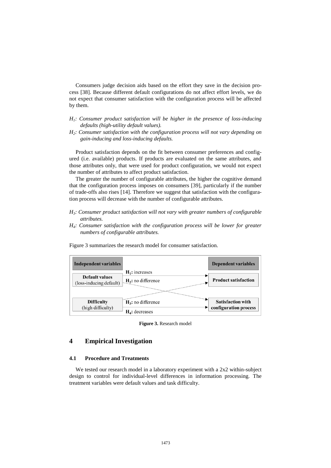Consumers judge decision aids based on the effort they save in the decision process [\[38\]](#page-14-15). Because different default configurations do not affect effort levels, we do not expect that consumer satisfaction with the configuration process will be affected by them.

- *H1: Consumer product satisfaction will be higher in the presence of loss-inducing defaults (high-utility default values).*
- *H2: Consumer satisfaction with the configuration process will not vary depending on gain-inducing and loss-inducing defaults.*

Product satisfaction depends on the fit between consumer preferences and configured (i.e. available) products. If products are evaluated on the same attributes, and those attributes only, that were used for product configuration, we would not expect the number of attributes to affect product satisfaction.

The greater the number of configurable attributes, the higher the cognitive demand that the configuration process imposes on consumers [\[39\]](#page-14-16), particularly if the number of trade-offs also rises [\[14\]](#page-13-13). Therefore we suggest that satisfaction with the configuration process will decrease with the number of configurable attributes.

- *H3: Consumer product satisfaction will not vary with greater numbers of configurable attributes.*
- *H4: Consumer satisfaction with the configuration process will be lower for greater numbers of configurable attributes.*

| <b>Independent variables</b>                     |                                            | <b>Dependent variables</b>                        |
|--------------------------------------------------|--------------------------------------------|---------------------------------------------------|
| <b>Default values</b><br>(loss-inducing default) | $H_1$ : increases<br>$H_2$ : no difference | <b>Product satisfaction</b>                       |
| <b>Difficulty</b><br>(high difficulty)           | $H_3$ : no difference<br>$H_4$ : decreases | <b>Satisfaction with</b><br>configuration process |

Figure 3 summarizes the research model for consumer satisfaction.

**Figure 3.** Research model

# **4 Empirical Investigation**

#### **4.1 Procedure and Treatments**

We tested our research model in a laboratory experiment with a 2x2 within-subject design to control for individual-level differences in information processing. The treatment variables were default values and task difficulty.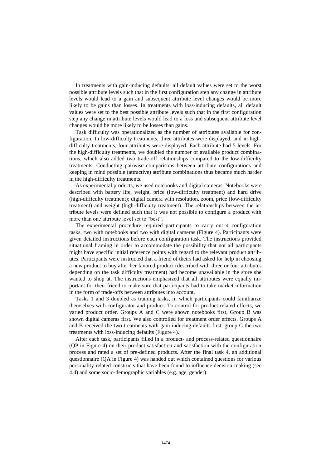In treatments with gain-inducing defaults, all default values were set to the worst possible attribute levels such that in the first configuration step any change in attribute levels would lead to a gain and subsequent attribute level changes would be more likely to be gains than losses. In treatments with loss-inducing defaults, all default values were set to the best possible attribute levels such that in the first configuration step any change in attribute levels would lead to a loss and subsequent attribute level changes would be more likely to be losses than gains.

Task difficulty was operationalized as the number of attributes available for configuration. In low-difficulty treatments, three attributes were displayed, and in highdifficulty treatments, four attributes were displayed. Each attribute had 5 levels. For the high-difficulty treatments, we doubled the number of available product combinations, which also added two trade-off relationships compared to the low-difficulty treatments. Conducting pairwise comparisons between attribute configurations and keeping in mind possible (attractive) attribute combinations thus became much harder in the high-difficulty treatments.

As experimental products, we used notebooks and digital cameras. Notebooks were described with battery life, weight, price (low-difficulty treatment) and hard drive (high-difficulty treatment); digital camera with resolution, zoom, price (low-difficulty treatment) and weight (high-difficulty treatment). The relationships between the attribute levels were defined such that it was not possible to configure a product with more than one attribute level set to "best".

The experimental procedure required participants to carry out 4 configuration tasks, two with notebooks and two with digital cameras (Figure 4). Participants were given detailed instructions before each configuration task. The instructions provided situational framing in order to accommodate the possibility that not all participants might have specific initial reference points with regard to the relevant product attributes. Participants were instructed that a friend of theirs had asked for help in choosing a new product to buy after her favored product (described with three or four attributes depending on the task difficulty treatment) had become unavailable in the store she wanted to shop at. The instructions emphasized that all attributes were equally important for their friend to make sure that participants had to take market information in the form of trade-offs between attributes into account.

Tasks 1 and 3 doubled as training tasks, in which participants could familiarize themselves with configurator and product. To control for product-related effects, we varied product order. Groups A and C were shown notebooks first, Group B was shown digital cameras first. We also controlled for treatment order effects. Groups A and B received the two treatments with gain-inducing defaults first, group C the two treatments with loss-inducing defaults (Figure 4).

After each task, participants filled in a product- and process-related questionnaire (QP in Figure 4) on their product satisfaction and satisfaction with the configuration process and rated a set of pre-defined products. After the final task 4, an additional questionnaire (QA in Figure 4) was handed out which contained questions for various personality-related constructs that have been found to influence decision-making (see 4.4) and some socio-demographic variables (e.g. age, gender).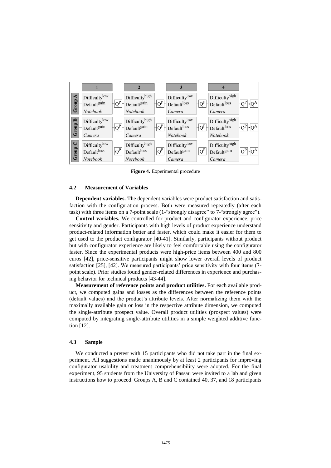

**Figure 4.** Experimental procedure

#### **4.2 Measurement of Variables**

**Dependent variables.** The dependent variables were product satisfaction and satisfaction with the configuration process. Both were measured repeatedly (after each task) with three items on a 7-point scale (1-"strongly disagree" to 7-"strongly agree").

**Control variables.** We controlled for product and configurator experience, price sensitivity and gender. Participants with high levels of product experience understand product-related information better and faster, which could make it easier for them to get used to the product configurator [\[40](#page-14-17)[-41\]](#page-14-18). Similarly, participants without product but with configurator experience are likely to feel comfortable using the configurator faster. Since the experimental products were high-price items between 400 and 800 euros [\[42\]](#page-14-19), price-sensitive participants might show lower overall levels of product satisfaction [\[25\]](#page-14-2), [\[42\]](#page-14-19). We measured participants' price sensitivity with four items (7 point scale). Prior studies found gender-related differences in experience and purchasing behavior for technical products [\[43-](#page-15-0)[44\]](#page-15-1).

**Measurement of reference points and product utilities.** For each available product, we computed gains and losses as the differences between the reference points (default values) and the product's attribute levels. After normalizing them with the maximally available gain or loss in the respective attribute dimension, we computed the single-attribute prospect value. Overall product utilities (prospect values) were computed by integrating single-attribute utilities in a simple weighted additive function [\[12\]](#page-13-11).

#### **4.3 Sample**

We conducted a pretest with 15 participants who did not take part in the final experiment. All suggestions made unanimously by at least 2 participants for improving configurator usability and treatment comprehensibility were adopted. For the final experiment, 95 students from the University of Passau were invited to a lab and given instructions how to proceed. Groups A, B and C contained 40, 37, and 18 participants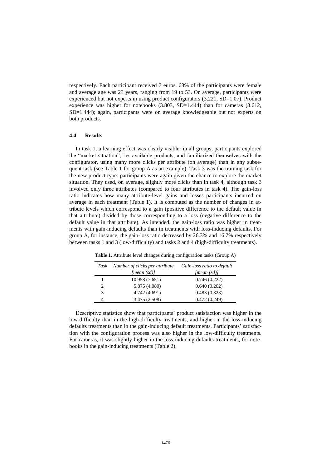respectively. Each participant received 7 euros. 68% of the participants were female and average age was 23 years, ranging from 19 to 53. On average, participants were experienced but not experts in using product configurators (3.221, SD=1.07). Product experience was higher for notebooks (3.803, SD=1.444) than for cameras (3.612, SD=1.444); again, participants were on average knowledgeable but not experts on both products.

#### **4.4 Results**

In task 1, a learning effect was clearly visible: in all groups, participants explored the "market situation", i.e. available products, and familiarized themselves with the configurator, using many more clicks per attribute (on average) than in any subsequent task (see Table 1 for group A as an example). Task 3 was the training task for the new product type: participants were again given the chance to explore the market situation. They used, on average, slightly more clicks than in task 4, although task 3 involved only three attributes (compared to four attributes in task 4). The gain-loss ratio indicates how many attribute-level gains and losses participants incurred on average in each treatment (Table 1). It is computed as the number of changes in attribute levels which correspond to a gain (positive difference to the default value in that attribute) divided by those corresponding to a loss (negative difference to the default value in that attribute). As intended, the gain-loss ratio was higher in treatments with gain-inducing defaults than in treatments with loss-inducing defaults. For group A, for instance, the gain-loss ratio decreased by 26.3% and 16.7% respectively between tasks 1 and 3 (low-difficulty) and tasks 2 and 4 (high-difficulty treatments).

| Task | Number of clicks per attribute | Gain-loss ratio to default |
|------|--------------------------------|----------------------------|
|      | [mean (sd)]                    | [mean (sd)]                |
|      | 10.958 (7.651)                 | 0.746(0.222)               |
| 2    | 5.875 (4.080)                  | 0.640(0.202)               |
| 3    | 4.742 (4.691)                  | 0.483(0.323)               |
| 4    | 3.475 (2.508)                  | 0.472(0.249)               |

**Table 1.** Attribute level changes during configuration tasks (Group A)

Descriptive statistics show that participants' product satisfaction was higher in the low-difficulty than in the high-difficulty treatments, and higher in the loss-inducing defaults treatments than in the gain-inducing default treatments. Participants' satisfaction with the configuration process was also higher in the low-difficulty treatments. For cameras, it was slightly higher in the loss-inducing defaults treatments, for notebooks in the gain-inducing treatments (Table 2).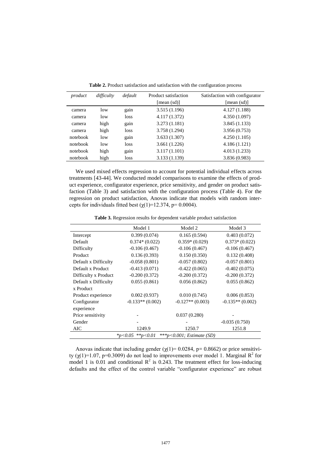| product  | difficulty | default | Product satisfaction<br>[mean (sd)] | Satisfaction with configurator<br>[mean (sd)] |
|----------|------------|---------|-------------------------------------|-----------------------------------------------|
| camera   | low        | gain    | 3.515 (1.196)                       | 4.127 (1.188)                                 |
| camera   | low        | loss    | 4.117 (1.372)                       | 4.350(1.097)                                  |
| camera   | high       | gain    | 3.273(1.181)                        | 3.845(1.133)                                  |
| camera   | high       | loss    | 3.758 (1.294)                       | 3.956 (0.753)                                 |
| notebook | low        | gain    | 3.633(1.307)                        | 4.250(1.105)                                  |
| notebook | low        | loss    | 3.661(1.226)                        | 4.186(1.121)                                  |
| notebook | high       | gain    | 3.117(1.101)                        | 4.013(1.233)                                  |
| notebook | high       | loss    | 3.133 (1.139)                       | 3.836 (0.983)                                 |

**Table 2.** Product satisfaction and satisfaction with the configuration process

We used mixed effects regression to account for potential individual effects across treatments [\[43-](#page-15-0)[44\]](#page-15-1). We conducted model comparisons to examine the effects of product experience, configurator experience, price sensitivity, and gender on product satisfaction (Table 3) and satisfaction with the configuration process (Table 4). For the regression on product satisfaction, Anovas indicate that models with random intercepts for individuals fitted best ( $\chi(1)$ =12.374, p= 0.0004).

**Table 3.** Regression results for dependent variable product satisfaction

|                                                       | Model 1            | Model 2            | Model 3            |
|-------------------------------------------------------|--------------------|--------------------|--------------------|
| Intercept                                             | 0.399(0.074)       | 0.165(0.594)       | 0.403(0.072)       |
| Default                                               | $0.374*(0.022)$    | $0.359*(0.029)$    | $0.373*(0.022)$    |
| Difficulty                                            | $-0.106(0.467)$    | $-0.106(0.467)$    | $-0.106(0.467)$    |
| Product                                               | 0.136(0.393)       | 0.150(0.350)       | 0.132(0.408)       |
| Default x Difficulty                                  | $-0.058(0.801)$    | $-0.057(0.802)$    | $-0.057(0.801)$    |
| Default x Product                                     | $-0.413(0.071)$    | $-0.422(0.065)$    | $-0.402(0.075)$    |
| Difficulty x Product                                  | $-0.200(0.372)$    | $-0.200(0.372)$    | $-0.200(0.372)$    |
| Default x Difficulty                                  | 0.055(0.861)       | 0.056(0.862)       | 0.055(0.862)       |
| x Product                                             |                    |                    |                    |
| Product experience                                    | 0.002(0.937)       | 0.010(0.745)       | 0.006(0.853)       |
| Configurator                                          | $-0.133**$ (0.002) | $-0.127**$ (0.003) | $-0.135**$ (0.002) |
| experience                                            |                    |                    |                    |
| Price sensitivity                                     |                    | 0.037(0.280)       |                    |
| Gender                                                |                    |                    | $-0.035(0.750)$    |
| AIC                                                   | 1249.9             | 1250.7             | 1251.8             |
| **p<0.01<br>***p<0.001; Estimate (SD)<br>$*_{p<0.05}$ |                    |                    |                    |

Anovas indicate that including gender ( $\chi(1)$ = 0.0284, p= 0.8662) or price sensitivity ( $\chi$ (1)=1.07, p=0.3009) do not lead to improvements over model 1. Marginal R<sup>2</sup> for model 1 is 0.01 and conditional  $\mathbb{R}^2$  is 0.243. The treatment effect for loss-inducing defaults and the effect of the control variable "configurator experience" are robust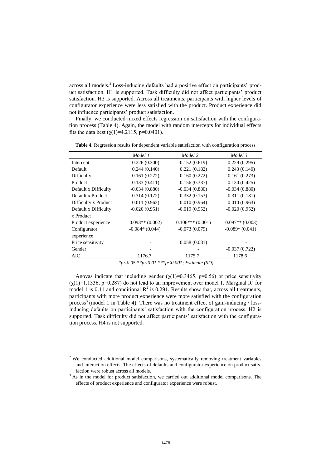across all models.<sup>2</sup> Loss-inducing defaults had a positive effect on participants' product satisfaction. H1 is supported. Task difficulty did not affect participants' product satisfaction. H3 is supported. Across all treatments, participants with higher levels of configurator experience were less satisfied with the product. Product experience did not influence participants' product satisfaction.

Finally, we conducted mixed effects regression on satisfaction with the configuration process (Table 4). Again, the model with random intercepts for individual effects fits the data best  $(y(1)=4.2115, p=0.0401)$ .

|                                            | Model 1           | Model 2           | Model 3           |  |
|--------------------------------------------|-------------------|-------------------|-------------------|--|
| Intercept                                  | 0.226(0.300)      | $-0.152(0.619)$   | 0.229(0.295)      |  |
| Default                                    | 0.244(0.140)      | 0.221(0.182)      | 0.243(0.140)      |  |
| Difficulty                                 | $-0.161(0.272)$   | $-0.160(0.272)$   | $-0.161(0.273)$   |  |
| Product                                    | 0.133(0.411)      | 0.156(0.337)      | 0.130(0.425)      |  |
| Default x Difficulty                       | $-0.034(0.880)$   | $-0.034(0.880)$   | $-0.034(0.880)$   |  |
| Default x Product                          | $-0.314(0.172)$   | $-0.332(0.153)$   | $-0.311(0.181)$   |  |
| Difficulty x Product                       | 0.011(0.963)      | 0.010(0.964)      | 0.010(0.963)      |  |
| Default x Difficulty                       | $-0.020(0.951)$   | $-0.019(0.952)$   | $-0.020(0.952)$   |  |
| x Product                                  |                   |                   |                   |  |
| Product experience                         | $0.093**$ (0.002) | $0.106***(0.001)$ | $0.097**$ (0.003) |  |
| Configurator                               | $-0.084*(0.044)$  | $-0.073(0.079)$   | $-0.089*(0.041)$  |  |
| experience                                 |                   |                   |                   |  |
| Price sensitivity                          |                   | 0.058(0.081)      |                   |  |
| Gender                                     |                   |                   | $-0.037(0.722)$   |  |
| AIC                                        | 1176.7            | 1175.7            | 1178.6            |  |
| *p<0.05 **p<0.01 ***p<0.001; Estimate (SD) |                   |                   |                   |  |

**Table 4.** Regression results for dependent variable satisfaction with configuration process

Anovas indicate that including gender  $(\chi(1)=0.3465, p=0.56)$  or price sensitivity  $(\chi(1)=1.1336, p=0.287)$  do not lead to an improvement over model 1. Marginal  $R^2$  for model 1 is 0.11 and conditional  $\mathbb{R}^2$  is 0.291. Results show that, across all treatments, participants with more product experience were more satisfied with the configuration process<sup>3</sup> (model 1 in Table 4). There was no treatment effect of gain-inducing / lossinducing defaults on participants' satisfaction with the configuration process. H2 is supported. Task difficulty did not affect participants' satisfaction with the configuration process. H4 is not supported.

l

 $2$  We conducted additional model comparisons, systematically removing treatment variables and interaction effects. The effects of defaults and configurator experience on product satisfaction were robust across all models.

<sup>&</sup>lt;sup>3</sup> As in the model for product satisfaction, we carried out additional model comparisons. The effects of product experience and configurator experience were robust.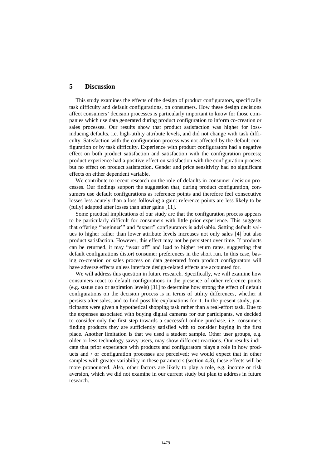# **5 Discussion**

This study examines the effects of the design of product configurators, specifically task difficulty and default configurations, on consumers. How these design decisions affect consumers' decision processes is particularly important to know for those companies which use data generated during product configuration to inform co-creation or sales processes. Our results show that product satisfaction was higher for lossinducing defaults, i.e. high-utility attribute levels, and did not change with task difficulty. Satisfaction with the configuration process was not affected by the default configuration or by task difficulty. Experience with product configurators had a negative effect on both product satisfaction and satisfaction with the configuration process; product experience had a positive effect on satisfaction with the configuration process but no effect on product satisfaction. Gender and price sensitivity had no significant effects on either dependent variable.

We contribute to recent research on the role of defaults in consumer decision processes. Our findings support the suggestion that, during product configuration, consumers use default configurations as reference points and therefore feel consecutive losses less acutely than a loss following a gain: reference points are less likely to be (fully) adapted after losses than after gains [\[11\]](#page-13-10).

Some practical implications of our study are that the configuration process appears to be particularly difficult for consumers with little prior experience. This suggests that offering "beginner'" and "expert" configurators is advisable. Setting default values to higher rather than lower attribute levels increases not only sales [\[4\]](#page-13-5) but also product satisfaction. However, this effect may not be persistent over time. If products can be returned, it may "wear off" and lead to higher return rates, suggesting that default configurations distort consumer preferences in the short run. In this case, basing co-creation or sales process on data generated from product configurators will have adverse effects unless interface design-related effects are accounted for.

We will address this question in future research. Specifically, we will examine how consumers react to default configurations in the presence of other reference points (e.g. status quo or aspiration levels) [\[31\]](#page-14-8) to determine how strong the effect of default configurations on the decision process is in terms of utility differences, whether it persists after sales, and to find possible explanations for it. In the present study, participants were given a hypothetical shopping task rather than a real-effort task. Due to the expenses associated with buying digital cameras for our participants, we decided to consider only the first step towards a successful online purchase, i.e. consumers finding products they are sufficiently satisfied with to consider buying in the first place. Another limitation is that we used a student sample. Other user groups, e.g. older or less technology-savvy users, may show different reactions. Our results indicate that prior experience with products and configurators plays a role in how products and / or configuration processes are perceived; we would expect that in other samples with greater variability in these parameters (section 4.3), these effects will be more pronounced. Also, other factors are likely to play a role, e.g. income or risk aversion, which we did not examine in our current study but plan to address in future research.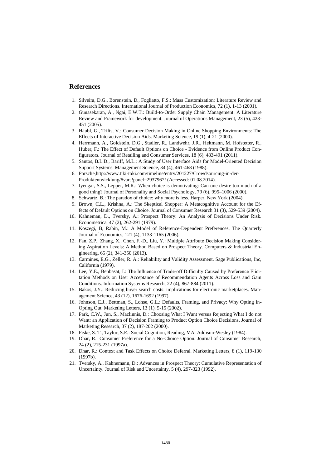## **References**

- <span id="page-13-0"></span>1. Silveira, D.G., Borenstein, D., Fogliatto, F.S.: Mass Customization: Literature Review and Research Directions. International Journal of Production Economics, 72 (1), 1-13 (2001).
- <span id="page-13-1"></span>2. Gunasekaran, A., Ngai, E.W.T.: Build-to-Order Supply Chain Management: A Literature Review and Framework for development. Journal of Operations Management, 23 (5), 423- 451 (2005).
- <span id="page-13-2"></span>3. Häubl, G., Trifts, V.: Consumer Decision Making in Online Shopping Environments: The Effects of Interactive Decision Aids. Marketing Science, 19 (1), 4-21 (2000).
- <span id="page-13-5"></span>4. Herrmann, A., Goldstein, D.G., Stadler, R., Landwehr, J.R., Heitmann, M. Hofstetter, R., Huber, F.: The Effect of Default Options on Choice - Evidence from Online Product Configurators. Journal of Retailing and Consumer Services, 18 (6), 483-491 (2011).
- <span id="page-13-3"></span>5. Santos, B.L.D., Bariff, M.L.: A Study of User Interface Aids for Model-Oriented Decision Support Systems. Management Science, 34 (4), 461-468 (1988).
- <span id="page-13-4"></span>6. Porsche,http://www.tiki-toki.com/timeline/entry/201227/Crowdsourcing-in-der-Produktentwicklung/#vars!panel=2937967! (Accessed: 01.08.2014).
- <span id="page-13-6"></span>7. Iyengar, S.S., Lepper, M.R.: When choice is demotivating: Can one desire too much of a good thing? Journal of Personality and Social Psychology, 79 (6), 995–1006 (2000).
- <span id="page-13-7"></span>8. Schwartz, B.: The paradox of choice: why more is less. Harper, New York (2004).
- <span id="page-13-8"></span>9. Brown, C.L., Krishna, A.: The Skeptical Shopper: A Metacognitive Account for the Effects of Default Options on Choice. Journal of Consumer Research 31 (3), 529-539 (2004).
- <span id="page-13-9"></span>10. Kahneman, D., Tversky, A.: Prospect Theory: An Analysis of Decisions Under Risk. Econometrica, 47 (2), 262-291 (1979).
- <span id="page-13-10"></span>11. Köszegi, B, Rabin, M.: A Model of Reference-Dependent Preferences, The Quarterly Journal of Economics, 121 (4), 1133-1165 (2006).
- <span id="page-13-11"></span>12. Fan, Z.P., Zhang, X., Chen, F.-D., Liu, Y.: Multiple Attribute Decision Making Considering Aspiration Levels: A Method Based on Prospect Theory. Computers & Industrial Engineering, 65 (2), 341-350 (2013).
- <span id="page-13-12"></span>13. Carmines, E.G., Zeller, R. A.: Reliability and Validity Assessment. Sage Publications, Inc, California (1979).
- <span id="page-13-13"></span>14. Lee, Y.E., Benbasat, I.: The Influence of Trade-off Difficulty Caused by Preference Elicitation Methods on User Acceptance of Recommendation Agents Across Loss and Gain Conditions. Information Systems Research, 22 (4), 867-884 (2011).
- 15. Bakos, J.Y.: Reducing buyer search costs: implications for electronic marketplaces. Management Science, 43 (12), 1676-1692 (1997).
- 16. Johnson, E.J., Bettman, S., Lohse, G.L.: Defaults, Framing, and Privacy: Why Opting In-Opting Out. Marketing Letters, 13 (1), 5-15 (2002).
- 17. Park, C.W., Jun, S., Maclinnis, D.: Choosing What I Want versus Rejecting What I do not Want: an Application of Decision Framing to Product Option Choice Decisions. Journal of Marketing Research, 37 (2), 187-202 (2000).
- <span id="page-13-14"></span>18. Fiske, S. T., Taylor, S.E.: Social Cognition, Reading, MA: Addison-Wesley (1984).
- 19. Dhar, R.: Consumer Preference for a No-Choice Option. Journal of Consumer Research, 24 (2), 215-231 (1997a).
- 20. Dhar, R.: Context and Task Effects on Choice Deferral. Marketing Letters, 8 (1), 119-130  $(1997h)$ .
- 21. Tversky, A., Kahnemann, D.: Advances in Prospect Theory: Cumulative Representation of Uncertainty. Journal of Risk and Uncertainty, 5 (4), 297-323 (1992).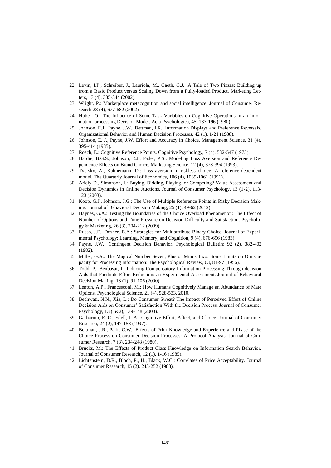- 22. Levin, I.P., Schreiber, J., Lauriola, M., Gaeth, G.J.: A Tale of Two Pizzas: Building up from a Basic Product versus Scaling Down from a Fully-loaded Product. Marketing Letters, 13 (4), 335-344 (2002).
- <span id="page-14-0"></span>23. Wright, P.: Marketplace metacognition and social intelligence. Journal of Consumer Research 28 (4), 677-682 (2002).
- <span id="page-14-1"></span>24. Huber, O.: The Influence of Some Task Variables on Cognitive Operations in an Information-processing Decision Model. Acta Psychologica, 45, 187-196 (1980).
- <span id="page-14-2"></span>25. Johnson, E.J., Payne, J.W., Bettman, J.R.: Information Displays and Preference Reversals. Organizational Behavior and Human Decision Processes, 42 (1), 1-21 (1988).
- <span id="page-14-3"></span>26. Johnson, E. J., Payne, J.W. Effort and Accuracy in Choice. Management Science, 31 (4), 395-414 (1985).
- <span id="page-14-4"></span>27. Rosch, E.: Cognitive Reference Points. Cognitive Psychology, 7 (4), 532-547 (1975).
- <span id="page-14-5"></span>28. Hardie, B.G.S., Johnson, E.J., Fader, P.S.: Modeling Loss Aversion and Reference Dependence Effects on Brand Choice. Marketing Science, 12 (4), 378-394 (1993).
- <span id="page-14-6"></span>29. Tversky, A., Kahnemann, D.: Loss aversion in riskless choice: A reference-dependent model. The Quarterly Journal of Economics, 106 (4), 1039-1061 (1991).
- <span id="page-14-7"></span>30. Ariely D., Simonson, I.: Buying, Bidding, Playing, or Competing? Value Assessment and Decision Dynamics in Online Auctions. Journal of Consumer Psychology, 13 (1-2), 113- 123 (2003).
- <span id="page-14-8"></span>31. Koop, G.J., Johnson, J.G.: The Use of Multiple Reference Points in Risky Decision Making. Journal of Behavioral Decision Making, 25 (1), 49-62 (2012).
- <span id="page-14-9"></span>32. Haynes, G.A.: Testing the Boundaries of the Choice Overload Phenomenon: The Effect of Number of Options and Time Pressure on Decision Difficulty and Satisfaction. Psychology & Marketing, 26 (3), 204-212 (2009).
- <span id="page-14-10"></span>33. Russo, J.E., Dosher, B.A.: Strategies for Multiattribute Binary Choice. Journal of Experimental Psychology: Learning, Memory, and Cognition, 9 (4), 676-696 (1983).
- <span id="page-14-11"></span>34. Payne, J.W.: Contingent Decision Behavior. Psychological Bulletin: 92 (2), 382-402 (1982).
- <span id="page-14-12"></span>35. Miller, G.A.: The Magical Number Seven, Plus or Minus Two: Some Limits on Our Capacity for Processing Information: The Psychological Review, 63, 81-97 (1956).
- <span id="page-14-13"></span>36. Todd, P., Benbasat, I.: Inducing Compensatory Information Processing Through decision Aids that Facilitate Effort Reduction: an Experimental Assessment. Journal of Behavioral Decision Making: 13 (1), 91-106 (2000).
- <span id="page-14-14"></span>37. Lenton, A.P., Francesconi, M.: How Humans Cognitively Manage an Abundance of Mate Options. Psychological Science, 21 (4), 528-533, 2010.
- <span id="page-14-15"></span>38. Bechwati, N.N., Xia, L.: Do Consumer Sweat? The Impact of Perceived Effort of Online Decision Aids on Consumer' Satisfaction With the Decision Process. Journal of Consumer Psychology, 13 (1&2), 139-148 (2003).
- <span id="page-14-16"></span>39. Garbarino, E. C., Edell, J. A.: Cognitive Effort, Affect, and Choice. Journal of Consumer Research, 24 (2), 147-158 (1997).
- <span id="page-14-17"></span>40. Bettman, J.R., Park, C.W.: Effects of Prior Knowledge and Experience and Phase of the Choice Process on Consumer Decision Processes: A Protocol Analysis. Journal of Consumer Research, 7 (3), 234-248 (1980).
- <span id="page-14-18"></span>41. Brucks, M.: The Effects of Product Class Knowledge on Information Search Behavior. Journal of Consumer Research, 12 (1), 1-16 (1985).
- <span id="page-14-19"></span>42. Lichtenstein, D.R., Bloch, P., H., Black, W.C.: Correlates of Price Acceptability. Journal of Consumer Research, 15 (2), 243-252 (1988).